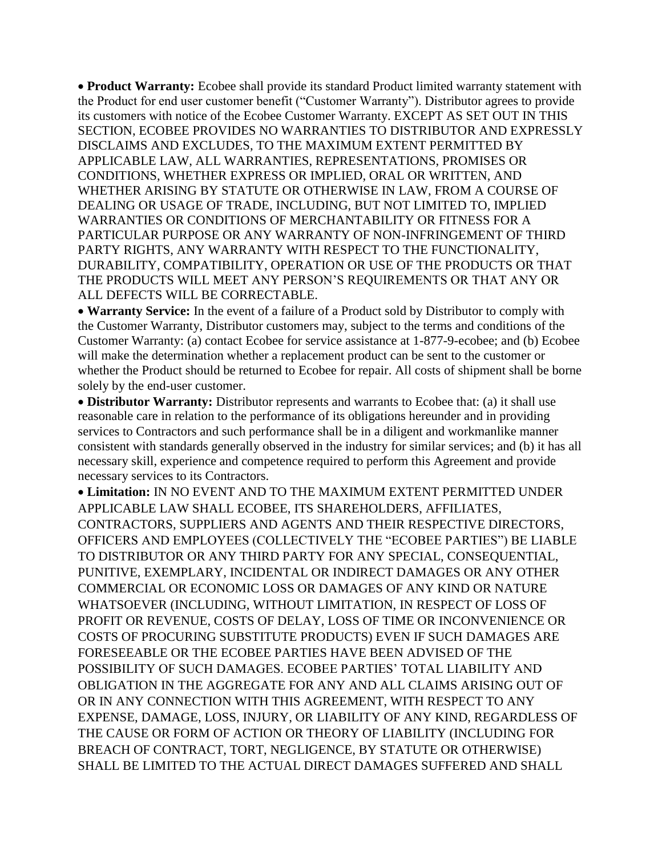**Product Warranty:** Ecobee shall provide its standard Product limited warranty statement with the Product for end user customer benefit ("Customer Warranty"). Distributor agrees to provide its customers with notice of the Ecobee Customer Warranty. EXCEPT AS SET OUT IN THIS SECTION, ECOBEE PROVIDES NO WARRANTIES TO DISTRIBUTOR AND EXPRESSLY DISCLAIMS AND EXCLUDES, TO THE MAXIMUM EXTENT PERMITTED BY APPLICABLE LAW, ALL WARRANTIES, REPRESENTATIONS, PROMISES OR CONDITIONS, WHETHER EXPRESS OR IMPLIED, ORAL OR WRITTEN, AND WHETHER ARISING BY STATUTE OR OTHERWISE IN LAW, FROM A COURSE OF DEALING OR USAGE OF TRADE, INCLUDING, BUT NOT LIMITED TO, IMPLIED WARRANTIES OR CONDITIONS OF MERCHANTABILITY OR FITNESS FOR A PARTICULAR PURPOSE OR ANY WARRANTY OF NON-INFRINGEMENT OF THIRD PARTY RIGHTS, ANY WARRANTY WITH RESPECT TO THE FUNCTIONALITY, DURABILITY, COMPATIBILITY, OPERATION OR USE OF THE PRODUCTS OR THAT THE PRODUCTS WILL MEET ANY PERSON'S REQUIREMENTS OR THAT ANY OR ALL DEFECTS WILL BE CORRECTABLE.

 **Warranty Service:** In the event of a failure of a Product sold by Distributor to comply with the Customer Warranty, Distributor customers may, subject to the terms and conditions of the Customer Warranty: (a) contact Ecobee for service assistance at 1-877-9-ecobee; and (b) Ecobee will make the determination whether a replacement product can be sent to the customer or whether the Product should be returned to Ecobee for repair. All costs of shipment shall be borne solely by the end-user customer.

 **Distributor Warranty:** Distributor represents and warrants to Ecobee that: (a) it shall use reasonable care in relation to the performance of its obligations hereunder and in providing services to Contractors and such performance shall be in a diligent and workmanlike manner consistent with standards generally observed in the industry for similar services; and (b) it has all necessary skill, experience and competence required to perform this Agreement and provide necessary services to its Contractors.

 **Limitation:** IN NO EVENT AND TO THE MAXIMUM EXTENT PERMITTED UNDER APPLICABLE LAW SHALL ECOBEE, ITS SHAREHOLDERS, AFFILIATES, CONTRACTORS, SUPPLIERS AND AGENTS AND THEIR RESPECTIVE DIRECTORS, OFFICERS AND EMPLOYEES (COLLECTIVELY THE "ECOBEE PARTIES") BE LIABLE TO DISTRIBUTOR OR ANY THIRD PARTY FOR ANY SPECIAL, CONSEQUENTIAL, PUNITIVE, EXEMPLARY, INCIDENTAL OR INDIRECT DAMAGES OR ANY OTHER COMMERCIAL OR ECONOMIC LOSS OR DAMAGES OF ANY KIND OR NATURE WHATSOEVER (INCLUDING, WITHOUT LIMITATION, IN RESPECT OF LOSS OF PROFIT OR REVENUE, COSTS OF DELAY, LOSS OF TIME OR INCONVENIENCE OR COSTS OF PROCURING SUBSTITUTE PRODUCTS) EVEN IF SUCH DAMAGES ARE FORESEEABLE OR THE ECOBEE PARTIES HAVE BEEN ADVISED OF THE POSSIBILITY OF SUCH DAMAGES. ECOBEE PARTIES' TOTAL LIABILITY AND OBLIGATION IN THE AGGREGATE FOR ANY AND ALL CLAIMS ARISING OUT OF OR IN ANY CONNECTION WITH THIS AGREEMENT, WITH RESPECT TO ANY EXPENSE, DAMAGE, LOSS, INJURY, OR LIABILITY OF ANY KIND, REGARDLESS OF THE CAUSE OR FORM OF ACTION OR THEORY OF LIABILITY (INCLUDING FOR BREACH OF CONTRACT, TORT, NEGLIGENCE, BY STATUTE OR OTHERWISE) SHALL BE LIMITED TO THE ACTUAL DIRECT DAMAGES SUFFERED AND SHALL